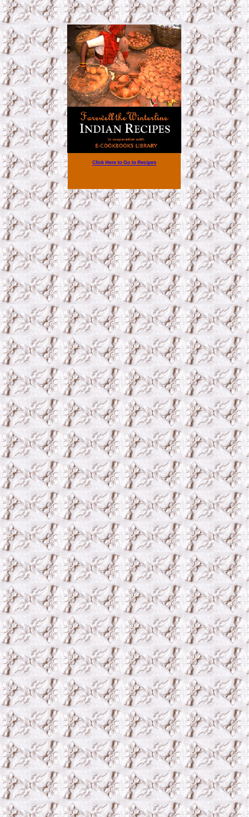











# Farewell the Winterline **INDIAN RECIPES**

in cooperation with **E-COOKBOOKS LIBRARY** 

**[Click Here to Go to Recipes](#page-1-0)**









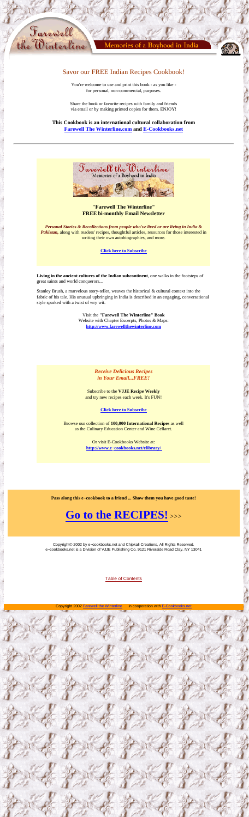<span id="page-1-0"></span>



## Savor our FREE Indian Recipes Cookbook!

You're welcome to use and print this book - as you like for personal, non-commercial, purposes.

Share the book or favorite recipes with family and friends via email or by making printed copies for them. ENJOY!

**This Cookbook is an international cultural collaboration from [Farewell The Winterline.com](http://www.farewellthewinterline.com/) and [E-Cookbooks.net](http://www.e-cookbooks.net/elibrary/)**



### **"Farewell The Winterline" FREE bi-monthly Email Newsletter**

*Personal Stories & Recollections from people who've lived or are living in India &*  **Pakistan,** along with readers' recipes, thoughtful articles, resources for those interested in writing their own autobiographies, and more.

**[Click here to Subscribe](http://www.greyvisual.com/winterline/newsletter/subscribefromAcroCookbook.html)**

**Living in the ancient cultures of the Indian subcontinent**, one walks in the footsteps of great saints and world conquerors...

Stanley Brush, a marvelous story-teller, weaves the historical & cultural context into the fabric of his tale. His unusual upbringing in India is described in an engaging, conversational style sparked with a twist of wry wit.

> Visit the **"Farewell The Winterline" Book** Website with Chapter Excerpts, Photos & Maps: **[http://www.farewellthewinterline.com](http://www.farewellthewinterline.com/)**

> > *Receive Delicious Recipes in Your Email...FREE!*

Subscribe to the **VJJE Recipe Weekly** and try new recipes each week. It's FUN!

**[Click here to Subscribe](mailto:subscribe@e-cookbooks.net?subject=SubscribE)**

Browse our collection of **100,000 International Recipes** as well as the Culinary Education Center and Wine Cellaret.

> Or visit E-Cookbooks Website at: **http://www.e**−**[cookbooks.net/elibrary/](http://www.e-cookbooks.net/elibrary/)**

**Pass along this e**−**cookbook to a friend ... Show them you have good taste!** 

# **[Go to the RECIPES!](#page-2-0)** >>>

Copyright© 2002 by e−cookbooks.net and Chipkali Creations, All Rights Reserved. e−cookbooks.net is a Division of VJJE Publishing Co. 9121 Riverside Road Clay, NY 13041

[Table of Contents](#page-2-0)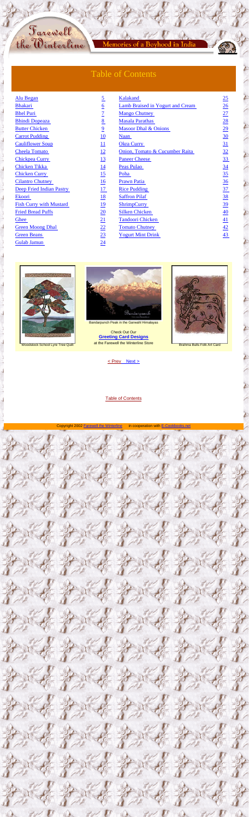

# Table of Contents

| Alu Began                       | $\overline{5}$   | Kalakand                         | 25               |
|---------------------------------|------------------|----------------------------------|------------------|
| <b>Bhakari</b>                  | $\underline{6}$  | Lamb Braised in Yogurt and Cream | $\overline{26}$  |
| <b>Bhel Puri</b>                | $\overline{1}$   | <b>Mango Chutney</b>             | 27               |
| <b>Bhindi Dopeaza</b>           | 8                | <b>Masala Parathas</b>           | 28               |
| <b>Butter Chicken</b>           | $\overline{9}$   | Masoor Dhal & Onions             | 29               |
| <b>Carrot Pudding</b>           | <u>10</u>        | <b>Naan</b>                      | $\underline{30}$ |
| <b>Cauliflower Soup</b>         | 11               | <b>Okra Curry</b>                | 31               |
| <b>Cheela Tomato</b>            | 12               | Onion, Tomato & Cucumber Raita   | 32               |
| <b>Chickpea Curry</b>           | <u>13</u>        | <b>Paneer Cheese</b>             | <u>33</u>        |
| <b>Chicken Tikka</b>            | 14               | Peas Pulao                       | $\overline{34}$  |
| <b>Chicken Curry</b>            | 15               | Poha                             | 35               |
| <b>Cilantro Chutney</b>         | <u>16</u>        | <b>Prawn Patia</b>               | $\frac{36}{5}$   |
| <b>Deep Fried Indian Pastry</b> | 17 <sub>1</sub>  | <b>Rice Pudding</b>              | 37               |
| Ekoori                          | <u>18</u>        | <b>Saffron Pilaf</b>             | $\frac{38}{5}$   |
| <b>Fish Curry with Mustard</b>  | <u>19</u>        | <b>ShrimpCurry</b>               | $\underline{39}$ |
| <b>Fried Bread Puffs</b>        | $\overline{20}$  | <b>Silken Chicken</b>            | $\overline{40}$  |
| Ghee                            | $\underline{21}$ | <b>Tandoori Chicken</b>          | $\underline{41}$ |
| <b>Green Moong Dhal</b>         | 22               | <b>Tomato Chutney</b>            | 42               |
| <b>Green Beans</b>              | 23               | <b>Yogurt Mint Drink</b>         | 43               |
| <b>Gulab Jamun</b>              | 24               |                                  |                  |



<span id="page-2-0"></span>Farewell

Check Out Our **[Greeting Card Designs](http://www.greyvisual.com/stores/FTWstore/Cards/CardCatalog.htm)** at the Farewell the Winterline Store **Brahma Bulls Folk Art Card** 



Woodstock School Lyre Tree Quilt



Bandarpunch Peak in the Garwahl Himalayas

### [< Prev](#page-1-0) [Next >](#page-3-0)

#### [Table of Contents](#page-2-0)

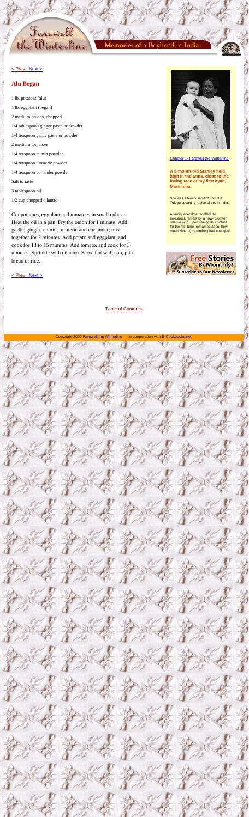<span id="page-3-0"></span>



### **Alu Began**

1 lb. potatoes (alu) 1 lb. eggplant (began) 2 medium onions, chopped 1/4 tablespoon ginger paste or powder 1/4 teaspoon garlic paste or powder 2 medium tomatoes 1/4 teaspoon cumin powder 1/4 teaspoon turmeric powder 1/4 teaspoon coriander powder Salt to taste 3 tablespoon oil 1/2 cup chopped cilantro

Cut potatoes, eggplant and tomatoes in small cubes. Heat the oil in a pan. Fry the onion for 1 minute. Add garlic, ginger, cumin, turmeric and coriander; mix together for 2 minutes. Add potato and eggplant, and cook for 13 to 15 minutes. Add tomato, and cook for 3 minutes. Sprinkle with cilantro. Serve hot with nan, pita bread or rice.



[Chapter 1- Farewell the Winterline](http://www.greyvisual.com/winterline/Contents/Chap1/chap1.html)

**A 5-month-old Stanley held high in the arms, close to the loving face of my first ayah, Marrimma.**

She was a family servant from the Telugu speaking region of south India.

A family anecdote recalled the awestruck remark by a now-forgotten relative who, upon seeing this picture for the first time, remarked about how much Helen (my mother) had changed!



[< Prev](#page-2-0) [Next >](#page-4-0)

[Table of Contents](#page-2-0)

Copyright 2002 [Farewell the Winterline](http://www.farewellthewinterline.com/) in cooperation with E-Cook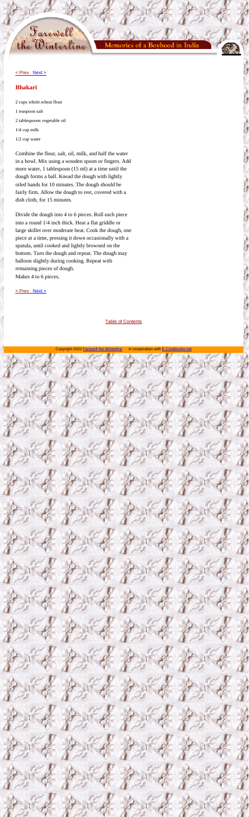<span id="page-4-0"></span>Farewell<br>the Winterline

### **Bhakari**

- 2 cups whole.wheat flour
- 1 teaspoon salt
- 2 tablespoons vegetable oil
- 1/4 cup milk
- 1/2 cup water

Combine the flour, salt, oil, milk, and half the water in a bowl. Mix using a wooden spoon or fingers. Add more water, 1 tablespoon (15 ml) at a time until the dough forms a ball. Knead the dough with lightly oiled hands for 10 minutes. The dough should be fairly firm. Allow the dough to rest, covered with a dish cloth, for 15 minutes.

Divide the dough into 4 to 6 pieces. Roll each piece into a round 1/4 inch thick. Heat a flat griddle or large skillet over moderate heat. Cook the dough, one piece at a time, pressing it down occasionally with a spatula, until cooked and lightly browned on the bottom. Turn the dough and repeat. The dough may balloon slightly during cooking. Repeat with remaining pieces of dough. Makes 4 to 6 pieces.

 $\le$  Prev Next  $>$ 

[Table of Contents](#page-2-0)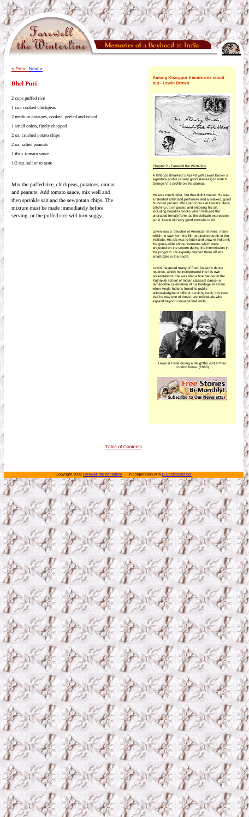<span id="page-5-0"></span>



### **Bhel Puri**

- 2 cups puffed rice
- 1 cup cooked chickpeas
- 2 medium potatoes, cooked, peeled and cubed
- 1 small onion, finely chopped
- 2 oz. crushed potato chips
- 2 oz. salted peanuts
- 1 tbsp. tomato sauce
- 1/2 tsp. salt or to taste

Mix the puffed rice, chickpeas, potatoes, onions and peanuts. Add tomato sauce, mix well and then sprinkle salt and the sev/potato chips. The mixture must be made immediately before serving, or the puffed rice will turn soggy.

#### **Among Khargpur friends one stood out– Lewin Brown.**



#### [Chapter 2 - Farewell the Winterline](http://www.greyvisual.com/winterline/Contents/Chap2/chap2.html)

A letter postmarked 5 Apr 40 with Lewin Brown´s signature profile (a very good likeness) to match George VI´s profile on the stamps.

He was much older, but that didn't matter. He was a talented artist and performer and a relaxed, good humored person. We spent hours at Lewin's place, catching up on gossip and enjoying his art, including beautiful books which featured the undraped female form, as the delicate expression put it. Lewin did very good portraits in oil.

Lewin was a devotee of American movies, many which he saw from the film projection booth at the Institute. His job was to letter and draw in India ink the glass-slide announcements which were projected on the screen during the intermission in the program. He expertly dashed them off at a small table in the booth.

Lewin mastered many of Fred Astaire's dance routines, which he incorporated into his own presentations. He was also a fine dancer in the Kathakali school of Indian classical dance–a remarkable celebration of his heritage at a time when Anglo-Indians found its public acknowledgment difficult. Looking back, it is clear that he was one of those rare individuals who expand beyond conventional limits.



win & Irene during a delightful visit at

London home. (1966)



#### [Table of Contents](#page-2-0)

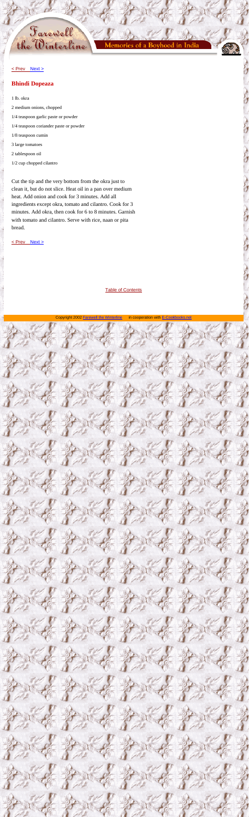<span id="page-6-0"></span>



### **Bhindi Dopeaza**

#### 1 lb. okra

2 medium onions, chopped 1/4 teaspoon garlic paste or powder 1/4 teaspoon coriander paste or powder 1/8 teaspoon cumin 3 large tomatoes 2 tablespoon oil 1/2 cup chopped cilantro

Cut the tip and the very bottom from the okra just to clean it, but do not slice. Heat oil in a pan over medium heat. Add onion and cook for 3 minutes. Add all ingredients except okra, tomato and cilantro. Cook for 3 minutes. Add okra, then cook for 6 to 8 minutes. Garnish with tomato and cilantro. Serve with rice, naan or pita bread.

[< Prev](#page-5-0) [Next >](#page-7-0)

[Table of Contents](#page-2-0)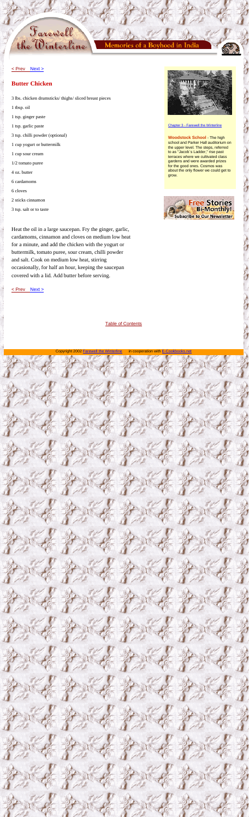<span id="page-7-0"></span>



### **Butter Chicken**

3 lbs. chicken drumsticks/ thighs/ sliced breast pieces

1 tbsp. oil

- 1 tsp. ginger paste
- 1 tsp. garlic paste
- 3 tsp. chilli powder (optional)
- 1 cup yogurt or buttermilk

1 cup sour cream

- 1/2 tomato puree
- 4 oz. butter
- 6 cardamoms
- 6 cloves
- 2 sticks cinnamon
- 3 tsp. salt or to taste

Heat the oil in a large saucepan. Fry the ginger, garlic, cardamoms, cinnamon and cloves on medium low heat for a minute, and add the chicken with the yogurt or buttermilk, tomato puree, sour cream, chilli powder and salt. Cook on medium low heat, stirring occasionally, for half an hour, keeping the saucepan covered with a lid. Add butter before serving.

#### [< Prev](#page-6-0) [Next >](#page-8-0)



[Chapter 3 - Farewell the Winterline](http://www.greyvisual.com/winterline/Contents/Chap3/chap3.html)

**Woodstock School** - The high school and Parker Hall auditorium on the upper level. The steps, referred to as "Jacob´s Ladder," rise past terraces where we cultivated class gardens and were awarded prizes for the good ones. Cosmos was about the only flower we could get to grow.



### [Table of Contents](#page-2-0)

Copyright 2002 [Farewell the Winterline](http://www.farewellthewinterline.com/) in cooperation with E-Cookbook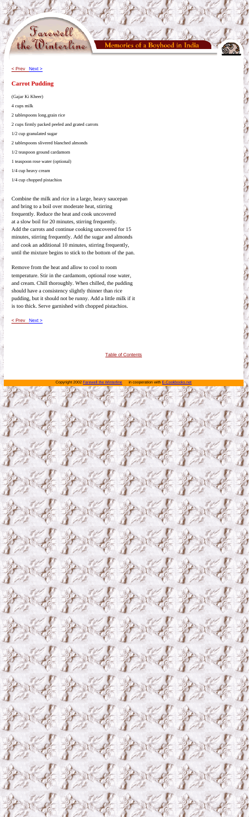<span id="page-8-0"></span>



### **Carrot Pudding**

(Gajar Ki Kheer) 4 cups milk 2 tablespoons long.grain rice 2 cups firmly packed peeled and grated carrots 1/2 cup granulated sugar 2 tablespoons slivered blanched almonds 1/2 teaspoon ground cardamom 1 teaspoon rose water (optional) 1/4 cup heavy cream 1/4 cup chopped pistachios

Combine the milk and rice in a large, heavy saucepan and bring to a boil over moderate heat, stirring frequently. Reduce the heat and cook uncovered at a slow boil for 20 minutes, stirring frequently. Add the carrots and continue cooking uncovered for 15 minutes, stirring frequently. Add the sugar and almonds and cook an additional 10 minutes, stirring frequently, until the mixture begins to stick to the bottom of the pan.

Remove from the heat and allow to cool to room temperature. Stir in the cardamom, optional rose water, and cream. Chill thoroughly. When chilled, the pudding should have a consistency slightly thinner than rice pudding, but it should not be runny. Add a little milk if it is too thick. Serve garnished with chopped pistachios.

 $\le$  Prev Next  $>$ 

[Table of Contents](#page-2-0)

Copyright 2002 [Farewell the Winterline](http://www.farewellthewinterline.com/) in cooperation with E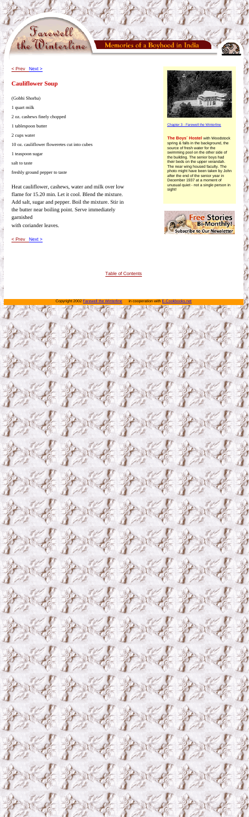<span id="page-9-0"></span>



### **Cauliflower Soup**

(Gobhi Shorba) 1 quart milk 2 oz. cashews finely chopped 1 tablespoon butter 2 cups water 10 oz. cauliflower floweretes cut into cubes 1 teaspoon sugar salt to taste freshly ground pepper to taste

Heat cauliflower, cashews, water and milk over low flame for 15.20 min. Let it cool. Blend the mixture. Add salt, sugar and pepper. Boil the mixture. Stir in the butter near boiling point. Serve immediately garnished with coriander leaves.

[< Prev](#page-8-0) [Next >](#page-10-0)



[Chapter 3 - Farewell the Winterline](http://www.greyvisual.com/winterline/Contents/Chap3/chap3.html)

**The Boys´ Hostel** with Woodstock spring & falls in the background, the source of fresh water for the swimming pool on the other side of the building. The senior boys had their beds on the upper verandah. The near wing housed faculty. The photo might have been taken by John after the end of the senior year in December 1937 at a moment of unusual quiet - not a single person in sight!



[Table of Contents](#page-2-0)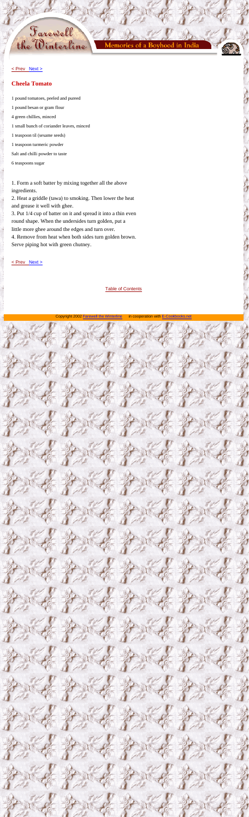<span id="page-10-0"></span>

oyhood



#### [< Prev](#page-9-0) [Next >](#page-11-0)

### **Cheela Tomato**

- 1 pound tomatoes, peeled and pureed 1 pound besan or gram flour
- 4 green chillies, minced
- 1 small bunch of coriander leaves, minced
- 1 teaspoon til (sesame seeds)
- 1 teaspoon turmeric powder
- Salt and chilli powder to taste
- 6 teaspoons sugar

1. Form a soft batter by mixing together all the above ingredients.

2. Heat a griddle (tawa) to smoking. Then lower the heat and grease it well with ghee.

3. Put 1/4 cup of batter on it and spread it into a thin even round shape. When the undersides turn golden, put a little more ghee around the edges and turn over. 4. Remove from heat when both sides turn golden brown. Serve piping hot with green chutney.

[< Prev](#page-9-0) [Next >](#page-11-0)

[Table of Contents](#page-2-0)

Copyright 2002 [Farewell the Winterline](http://www.farewellthewinterline.com/) in cooperation with E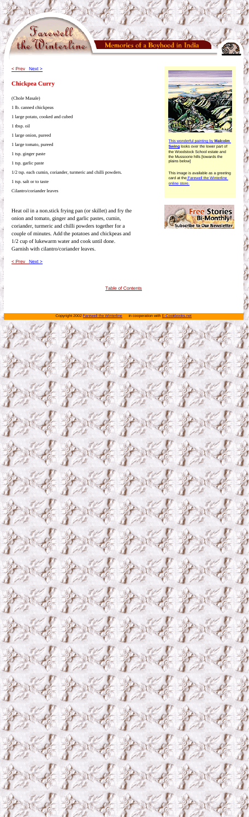<span id="page-11-0"></span>



### **Chickpea Curry**

(Chole Masale) 1 lb. canned chickpeas 1 large potato, cooked and cubed 1 tbsp. oil 1 large onion, pureed 1 large tomato, pureed 1 tsp. ginger paste 1 tsp. garlic paste 1/2 tsp. each cumin, coriander, turmeric and chilli powders. 1 tsp. salt or to taste Cilantro/coriander leaves

Heat oil in a non.stick frying pan (or skillet) and fry the onion and tomato, ginger and garlic pastes, cumin, coriander, turmeric and chilli powders together for a couple of minutes. Add the potatoes and chickpeas and 1/2 cup of lukewarm water and cook until done. Garnish with cilantro/coriander leaves.

[< Prev](#page-10-0) [Next >](#page-12-0)

[Table of Contents](#page-2-0)



card at the [Farewell the Winterline](http://www.greyvisual.com/stores/FTWstore/Cards/FavArtists/WoodstockSchoolView.htm)  [online store.](http://www.greyvisual.com/stores/FTWstore/Cards/FavArtists/WoodstockSchoolView.htm)

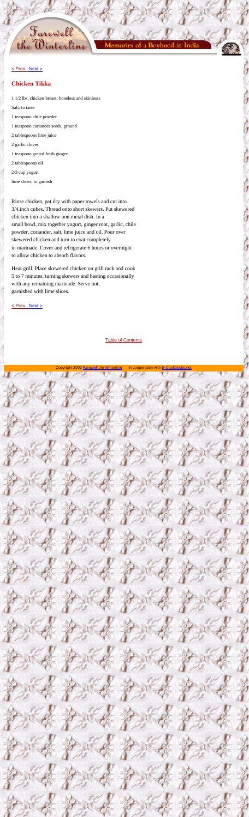

### **Chicken Tikka**

1 1/2 lbs. chicken breast; boneless and skinlesss Salt; to taste 1 teaspoon chile powder 1 teaspoon coriander seeds, ground 2 tablespoons lime juice 2 garlic cloves 1 teaspoon grated fresh ginger 2 tablespoons oil 2/3 cup yogurt lime slices; to garnish

<span id="page-12-0"></span>Farewell

the Winterline

Rinse chicken, pat dry with paper towels and cut into 3/4.inch cubes. Thread onto short skewers. Put skewered chicken into a shallow non.metal dish. In a small bowl, mix together yogurt, ginger root, garlic, chile powder, coriander, salt, lime juice and oil. Pour over skewered chicken and turn to coat completely in marinade. Cover and refrigerate 6 hours or overnight to allow chicken to absorb flavors.

Heat grill. Place skewered chicken on grill rack and cook 5 to 7 minutes, turning skewers and basting occasionally with any remaining marinade. Serve hot, garnished with lime slices.

[< Prev](#page-11-0) [Next >](#page-13-0)

[Table of Contents](#page-2-0)

Copyright 2002 [Farewell the Winterline](http://www.farewellthewinterline.com/) in cooperation with E-C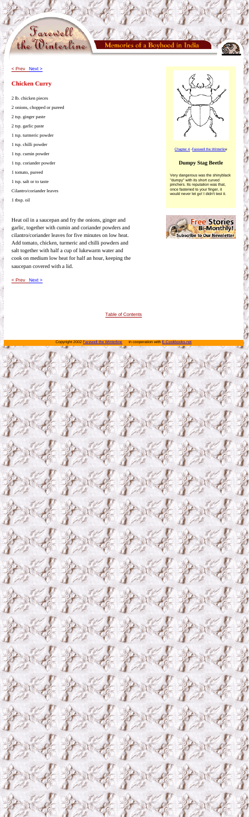<span id="page-13-0"></span>



### **Chicken Curry**

- 2 lb. chicken pieces
- 2 onions, chopped or pureed
- 2 tsp. ginger paste
- 2 tsp. garlic paste
- 1 tsp. turmeric powder
- 1 tsp. chilli powder
- 1 tsp. cumin powder
- 1 tsp. coriander powder
- 1 tomato, pureed
- 1 tsp. salt or to taste
- Cilantro/coriander leaves

1 tbsp. oil

Heat oil in a saucepan and fry the onions, ginger and garlic, together with cumin and coriander powders and cilantro/coriander leaves for five minutes on low heat. Add tomato, chicken, turmeric and chilli powders and salt together with half a cup of lukewarm water and cook on medium low heat for half an hour, keeping the saucepan covered with a lid.

[< Prev](#page-12-0) [Next >](#page-14-0)

.<br>Lea)-1

[Chapter 4](http://www.greyvisual.com/winterline/Contents/Chap4/chap4.html) [-Farewell the Winterline](http://www.greyvisual.com/winterline/Contents/Chap4/chap4.html)

### **Dumpy Stag Beetle**

Very dangerous was the shinyblack "dumpy" with its short curved pinchers. Its reputation was that, once fastened to your finger, it would never let go! I didn't test it.



[Table of Contents](#page-2-0)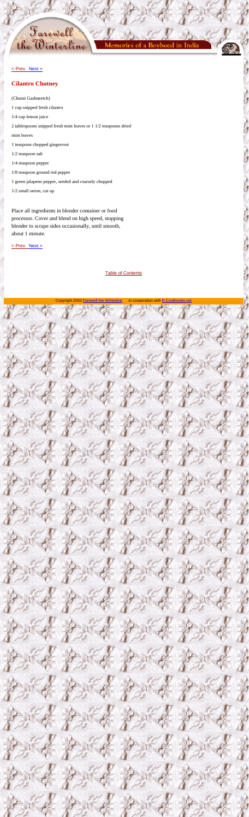<span id="page-14-0"></span>

hoo



#### [< Prev](#page-13-0) [Next >](#page-15-0)

### **Cilantro Chutney**

(Chutni Gashneetch) 1 cup snipped fresh cilantro 1/4 cup lemon juice 2 tablespoons snipped fresh mint leaves or 1 1/2 teaspoons dried mint leaves 1 teaspoon chopped gingerroot 1/2 teaspoon salt 1/4 teaspoon pepper 1/8 teaspoon ground red pepper 1 green jalapeno pepper, seeded and coarsely chopped 1/2 small onion, cut up

Place all ingredients in blender container or food processor. Cover and blend on high speed, stopping blender to scrape sides occasionally, until smooth, about 1 minute.

[< Prev](#page-13-0) [Next >](#page-15-0)

[Table of Contents](#page-2-0)

Copyright 2002 [Farewell the Winterline](http://www.farewellthewinterline.com/) in cooperation with E-Cookbook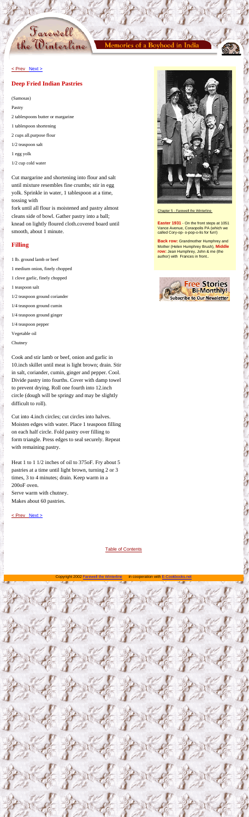<span id="page-15-0"></span>



### **Deep Fried Indian Pastries**

#### (Samosas)

#### Pastry

- 2 tablespoons butter or margarine
- 1 tablespoon shortening
- 2 cups all.purpose flour
- 1/2 teaspoon salt
- 1 egg yolk
- 1/2 cup cold water

Cut margarine and shortening into flour and salt until mixture resembles fine crumbs; stir in egg yolk. Sprinkle in water, 1 tablespoon at a time, tossing with

fork until all flour is moistened and pastry almost cleans side of bowl. Gather pastry into a ball; knead on lightly floured cloth.covered board until smooth, about 1 minute.

### **Filling**

1 lb. ground lamb or beef 1 medium onion, finely chopped 1 clove garlic, finely chopped 1 teaspoon salt 1/2 teaspoon ground coriander 1/4 teaspoon ground cumin 1/4 teaspoon ground ginger 1/4 teaspoon pepper Vegetable oil

Chutney

Cook and stir lamb or beef, onion and garlic in 10.inch skillet until meat is light brown; drain. Stir in salt, coriander, cumin, ginger and pepper. Cool. Divide pastry into fourths. Cover with damp towel to prevent drying. Roll one fourth into 12.inch circle (dough will be springy and may be slightly difficult to roll).



Cut into 4.inch circles; cut circles into halves. Moisten edges with water. Place 1 teaspoon filling on each half circle. Fold pastry over filling to form triangle. Press edges to seal securely. Repeat with remaining pastry.

Heat 1 to 1 1/2 inches of oil to 375oF. Fry about 5 pastries at a time until light brown, turning 2 or 3 times, 3 to 4 minutes; drain. Keep warm in a 200oF oven. Serve warm with chutney. Makes about 60 pastries.

<u>[< Prev](#page-14-0) [Next >](#page-16-0)</u>

[Chapter 5 - Farewell the Winterline](http://www.greyvisual.com/winterline/Contents/Chap5/chap5.html)

**Easter 1931** - On the front steps at 1051 Vance Avenue, Coraopolis PA (which we called Cory-op- o-pop-o-lis for fun!)

**Back row:** Grandmother Humphrey and Mother (Helen Humphrey Brush), **Middle row:** Jean Humphrey, John & me (the author) with Frances in front..



[Table of Contents](#page-2-0)

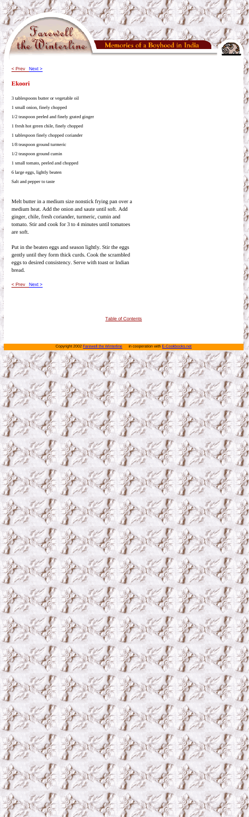<span id="page-16-0"></span>



### **Ekoori**

3 tablespoons butter or vegetable oil 1 small onion, finely chopped 1/2 teaspoon peeled and finely grated ginger 1 fresh hot green chile, finely chopped 1 tablespoon finely chopped coriander 1/8 teaspoon ground turmeric 1/2 teaspoon ground cumin 1 small tomato, peeled and chopped 6 large eggs, lightly beaten Salt and pepper to taste

Melt butter in a medium size nonstick frying pan over a medium heat. Add the onion and saute until soft. Add ginger, chile, fresh coriander, turmeric, cumin and tomato. Stir and cook for 3 to 4 minutes until tomatoes are soft.

Put in the beaten eggs and season lightly. Stir the eggs gently until they form thick curds. Cook the scrambled eggs to desired consistency. Serve with toast or Indian bread.

[< Prev](#page-15-0) [Next >](#page-17-0)

[Table of Contents](#page-2-0)

Copyright 2002 [Farewell the Winterline](http://www.farewellthewinterline.com/) in cooperation with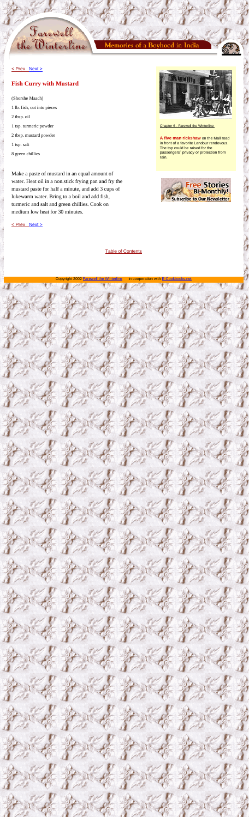<span id="page-17-0"></span>



### **Fish Curry with Mustard**

(Shorshe Maach) 1 lb. fish, cut into pieces 2 tbsp. oil 1 tsp. turmeric powder 2 tbsp. mustard powder 1 tsp. salt 8 green chillies

Make a paste of mustard in an equal amount of water. Heat oil in a non.stick frying pan and fry the mustard paste for half a minute, and add 3 cups of lukewarm water. Bring to a boil and add fish, turmeric and salt and green chillies. Cook on medium low heat for 30 minutes.

[Chapter 6 - Farewell the Winterline](http://www.greyvisual.com/winterline/Contents/Chap6/chap6.html) 

**A five man rickshaw** on the Mall road in front of a favorite Landour rendevous. The top could be raised for the passengers´ privacy or protection from rain.



[< Prev](#page-16-0) [Next >](#page-18-0)

[Table of Contents](#page-2-0)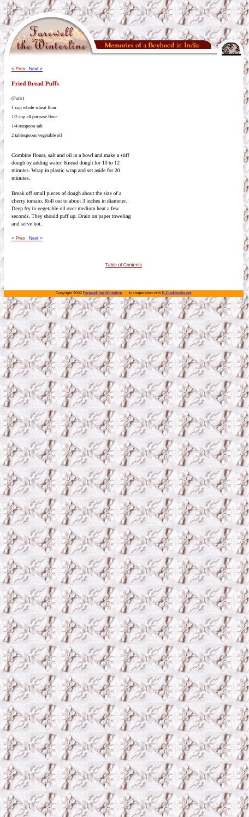<span id="page-18-0"></span>

/hood



#### [< Prev](#page-17-0) [Next >](#page-19-0)

### **Fried Bread Puffs**

(Puris)

1 cup whole wheat flour

1/2 cup all.purpose flour

1/4 teaspoon salt

2 tablespoons vegetable oil

Combine flours, salt and oil in a bowl and make a stiff dough by adding water. Knead dough for 10 to 12 minutes. Wrap in plastic wrap and set aside for 20 minutes.

Break off small pieces of dough about the size of a cherry tomato. Roll out to about 3 inches in diameter. Deep fry in vegetable oil over medium heat a few seconds. They should puff up. Drain on paper toweling and serve hot.

[< Prev](#page-17-0) [Next >](#page-19-0)

[Table of Contents](#page-2-0)

Copyright 2002 [Farewell the Winterline](http://www.farewellthewinterline.com/) in cooperation with E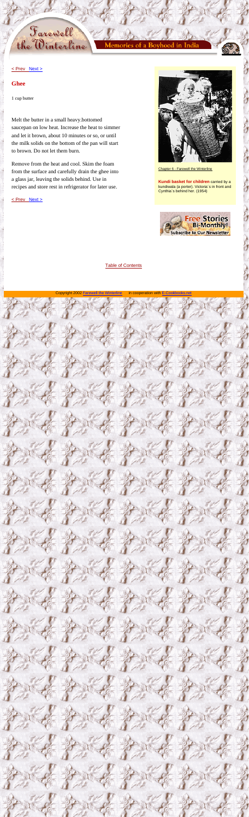<span id="page-19-0"></span>

#### a Boyhood in



#### [< Prev](#page-18-0) [Next >](#page-20-0)

### **Ghee**

1 cup butter

Melt the butter in a small heavy.bottomed saucepan on low heat. Increase the heat to simmer and let it brown, about 10 minutes or so, or until the milk solids on the bottom of the pan will start to brown. Do not let them burn.

Remove from the heat and cool. Skim the foam from the surface and carefully drain the ghee into a glass jar, leaving the solids behind. Use in recipes and store rest in refrigerator for later use.

 $\le$  Prev Next  $>$ 



[Chapter 6 - Farewell the Winterline](http://www.greyvisual.com/winterline/Contents/Chap6/chap6.html)

**Kundi basket for children** carried by a kundiwala (a porter). Victoria´s in front and Cynthia´s behind her. (1954)



[Table of Contents](#page-2-0)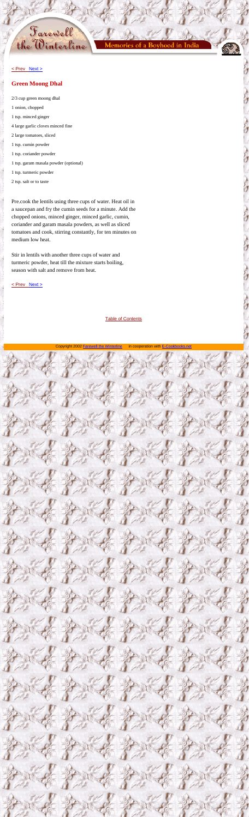<span id="page-20-0"></span>



### **Green Moong Dhal**

2/3 cup green moong dhal 1 onion, chopped 1 tsp. minced ginger 4 large garlic cloves minced fine 2 large tomatoes, sliced 1 tsp. cumin powder 1 tsp. coriander powder 1 tsp. garam masala powder (optional) 1 tsp. turmeric powder 2 tsp. salt or to taste

Pre.cook the lentils using three cups of water. Heat oil in a saucepan and fry the cumin seeds for a minute. Add the chopped onions, minced ginger, minced garlic, cumin, coriander and garam masala powders, as well as sliced tomatoes and cook, stirring constantly, for ten minutes on medium low heat.

Stir in lentils with another three cups of water and turmeric powder, heat till the mixture starts boiling, season with salt and remove from heat.

[< Prev](#page-19-0) [Next >](#page-21-0)

[Table of Contents](#page-2-0)

Copyright 2002 [Farewell the Winterline](http://www.farewellthewinterline.com/) in cooperation with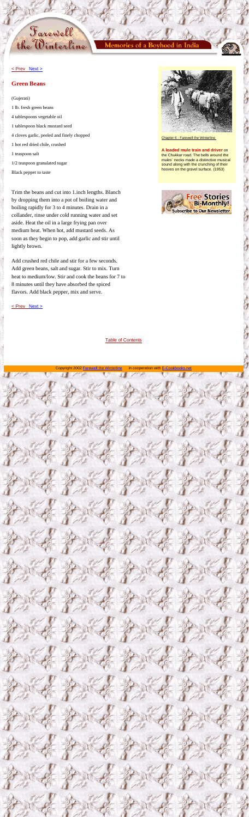<span id="page-21-0"></span>



### **Green Beans**

#### (Gujerati)

1 lb. fresh green beans 4 tablespoons vegetable oil 1 tablespoon black mustard seed 4 cloves garlic, peeled and finely chopped 1 hot red dried chile, crushed 1 teaspoon salt 1/2 teaspoon granulated sugar

Black pepper to taste

Trim the beans and cut into 1.inch lengths. Blanch by dropping them into a pot of boiling water and boiling rapidly for 3 to 4 minutes. Drain in a collander, rinse under cold running water and set aside. Heat the oil in a large frying pan over medium heat. When hot, add mustard seeds. As soon as they begin to pop, add garlic and stir until lightly brown.

Add crushed red chile and stir for a few seconds. Add green beans, salt and sugar. Stir to mix. Turn heat to medium/low. Stir and cook the beans for 7 to 8 minutes until they have absorbed the spiced flavors. Add black pepper, mix and serve.

[< Prev](#page-20-0) [Next >](#page-22-0)



[Chapter 6 - Farewell the Winterline](http://www.greyvisual.com/winterline/Contents/Chap6/chap6.html) 

**A loaded mule train and driver** on the Chukkar road. The bells around the mules´ necks made a distinctive musical sound along with the crunching of their hooves on the gravel surface. (1953)



[Table of Contents](#page-2-0)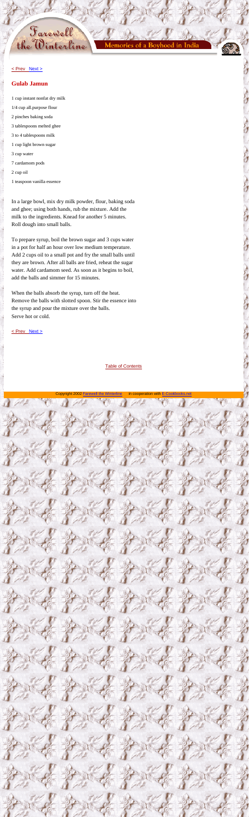### **Gulab Jamun**

1 cup instant nonfat dry milk

<span id="page-22-0"></span>Farewell<br>the Winterline

- 1/4 cup all.purpose flour
- 2 pinches baking soda
- 3 tablespoons melted ghee
- 3 to 4 tablespoons milk
- 1 cup light brown sugar
- 3 cup water
- 7 cardamom pods

2 cup oil

1 teaspoon vanilla essence

In a large bowl, mix dry milk powder, flour, baking soda and ghee; using both hands, rub the mixture. Add the milk to the ingredients. Knead for another 5 minutes. Roll dough into small balls.

To prepare syrup, boil the brown sugar and 3 cups water in a pot for half an hour over low medium temperature. Add 2 cups oil to a small pot and fry the small balls until they are brown. After all balls are fried, reheat the sugar water. Add cardamom seed. As soon as it begins to boil, add the balls and simmer for 15 minutes.

When the balls absorb the syrup, turn off the heat. Remove the balls with slotted spoon. Stir the essence into the syrup and pour the mixture over the balls. Serve hot or cold.

[< Prev](#page-21-0) [Next >](#page-23-0)

[Table of Contents](#page-2-0)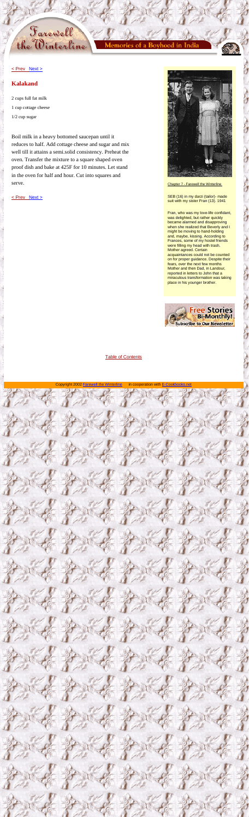ovhood



#### [< Prev](#page-22-0) [Next >](#page-24-0)

<span id="page-23-0"></span>Farewell

the Winterline

### **Kalakand**

2 cups full fat milk 1 cup cottage cheese 1/2 cup sugar

Boil milk in a heavy bottomed saucepan until it reduces to half. Add cottage cheese and sugar and mix well till it attains a semi.solid consistency. Preheat the oven. Transfer the mixture to a square shaped oven proof dish and bake at 425F for 10 minutes. Let stand in the oven for half and hour. Cut into squares and serve.

[< Prev](#page-22-0) [Next >](#page-24-0)



[Chapter 7 - Farewell the Winterline](http://www.greyvisual.com/winterline/Contents/Chap7/chap7.html) 

SEB (16) in my darzi (tailor)- made suit with my sister Fran (13). 1941

Fran, who was my love-life confidant, was delighted, but rather quickly became alarmed and disapproving when she realized that Beverly and I might be moving to hand-holding and, maybe, kissing. According to Frances, some of my hostel friends were filling my head with trash. Mother agreed. Certain acquaintances could not be counted on for proper guidance. Despite their fears, over the next few months Mother and then Dad, in Landour, reported in letters to John that a miraculous transformation was taking place in his younger brother.



[Table of Contents](#page-2-0)

Copyright 2002 [Farewell the Winterline](http://www.farewellthewinterline.com/) in cooperation with E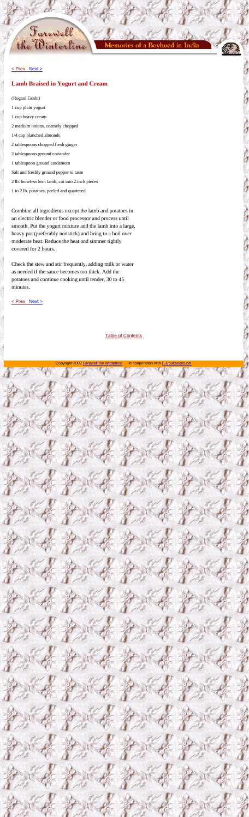<span id="page-24-0"></span>



### **Lamb Braised in Yogurt and Cream**

(Rogani Gosht) 1 cup plain yogurt 1 cup heavy cream 2 medium onions, coarsely chopped 1/4 cup blanched almonds 2 tablespoons chopped fresh ginger 2 tablespoons ground coriander 1 tablespoon ground cardamom Salt and freshly ground pepper to taste 2 lb. boneless lean lamb, cut into 2.inch pieces 1 to 2 lb. potatoes, peeled and quartered

Combine all ingredients except the lamb and potatoes in an electric blender or food processor and process until smooth. Put the yogurt mixture and the lamb into a large, heavy pot (preferably nonstick) and bring to a boil over moderate heat. Reduce the heat and simmer tightly covered for 2 hours.

Check the stew and stir frequently, adding milk or water as needed if the sauce becomes too thick. Add the potatoes and continue cooking until tender, 30 to 45 minutes.

[< Prev](#page-23-0) [Next >](#page-25-0)

[Table of Contents](#page-2-0)

in cooperation with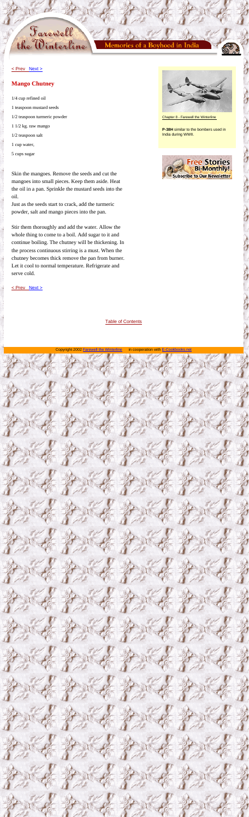<span id="page-25-0"></span>Farewell<br>the Winterline



#### [< Prev](#page-24-0) [Next >](#page-26-0)

## **Mango Chutney**

1/4 cup refined oil 1 teaspoon mustard seeds 1/2 teaspoon turmeric powder 1 1/2 kg. raw mango 1/2 teaspoon salt 1 cup water, 5 cups sugar

Skin the mangoes. Remove the seeds and cut the mangoes into small pieces. Keep them aside. Heat the oil in a pan. Sprinkle the mustard seeds into the oil.

Just as the seeds start to crack, add the turmeric powder, salt and mango pieces into the pan.

Stir them thoroughly and add the water. Allow the whole thing to come to a boil. Add sugar to it and continue boiling. The chutney will be thickening. In the process continuous stirring is a must. When the chutney becomes thick remove the pan from burner. Let it cool to normal temperature. Refrigerate and serve cold.

[< Prev](#page-24-0) [Next >](#page-26-0)



[Chapter 8 - Farewell the Winterline](http://www.greyvisual.com/winterline/Contents/Chap8/chap8.html) 

**P-38H** similar to the bombers used in India during WWII.



[Table of Contents](#page-2-0)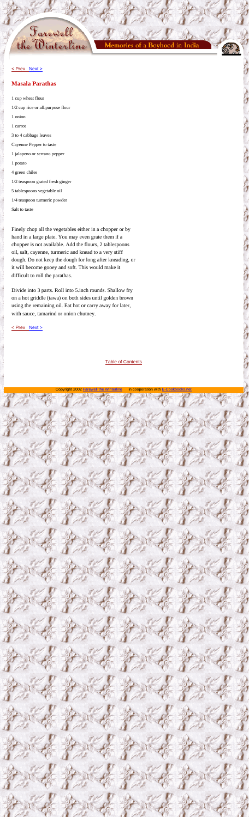### **Masala Parathas**

<span id="page-26-0"></span>Farewell<br>the Winterline

1 cup wheat flour 1/2 cup rice or all.purpose flour 1 onion 1 carrot 3 to 4 cabbage leaves Cayenne Pepper to taste 1 jalapeno or serrano pepper 1 potato 4 green chiles 1/2 teaspoon grated fresh ginger 5 tablespoons vegetable oil 1/4 teaspoon turmeric powder Salt to taste

Finely chop all the vegetables either in a chopper or by hand in a large plate. You may even grate them if a chopper is not available. Add the flours, 2 tablespoons oil, salt, cayenne, turmeric and knead to a very stiff dough. Do not keep the dough for long after kneading, or it will become gooey and soft. This would make it difficult to roll the parathas.

Divide into 3 parts. Roll into 5.inch rounds. Shallow fry on a hot griddle (tawa) on both sides until golden brown using the remaining oil. Eat hot or carry away for later, with sauce, tamarind or onion chutney.

[< Prev](#page-25-0) [Next >](#page-27-0)

[Table of Contents](#page-2-0)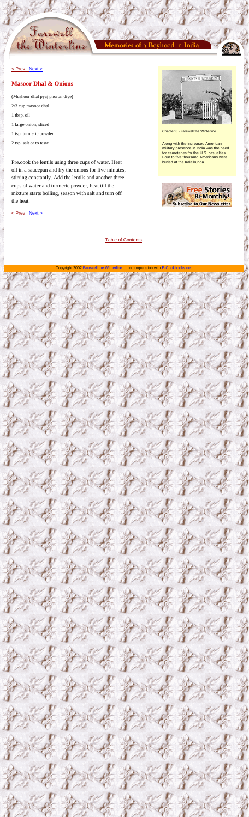<span id="page-27-0"></span>



### **Masoor Dhal & Onions**

(Mushoor dhal pyaj phoron diye) 2/3 cup masoor dhal 1 tbsp. oil 1 large onion, sliced 1 tsp. turmeric powder 2 tsp. salt or to taste

Pre.cook the lentils using three cups of water. Heat oil in a saucepan and fry the onions for five minutes, stirring constantly. Add the lentils and another three cups of water and turmeric powder, heat till the mixture starts boiling, season with salt and turn off the heat.

THE STATES HILLIARY CENETER

[Chapter 8 - Farewell the Winterline](http://www.greyvisual.com/winterline/Contents/Chap8/chap8.html) 

Along with the increased American military presence in India was the need for cemeteries for the U.S. casualties. Four to five thousand Americans were buried at the Kalaikunda.



[< Prev](#page-26-0) [Next >](#page-28-0)

[Table of Contents](#page-2-0)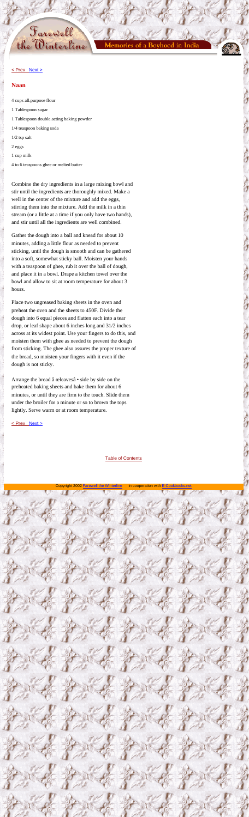<span id="page-28-0"></span>



#### **Naan**

4 cups all.purpose flour 1 Tablespoon sugar 1 Tablespoon double.acting baking powder 1/4 teaspoon baking soda 1/2 tsp salt 2 eggs 1 cup milk 4 to 6 teaspoons ghee or melted butter

Combine the dry ingredients in a large mixing bowl and stir until the ingredients are thoroughly mixed. Make a well in the center of the mixture and add the eggs, stirring them into the mixture. Add the milk in a thin stream (or a little at a time if you only have two hands), and stir until all the ingredients are well combined.

Gather the dough into a ball and knead for about 10 minutes, adding a little flour as needed to prevent sticking, until the dough is smooth and can be gathered into a soft, somewhat sticky ball. Moisten your hands with a teaspoon of ghee, rub it over the ball of dough, and place it in a bowl. Drape a kitchen towel over the bowl and allow to sit at room temperature for about 3 hours.

Arrange the bread â<del>©</del>eleaves†side by side on the preheated baking sheets and bake them for about 6 minutes, or until they are firm to the touch. Slide them under the broiler for a minute or so to brown the tops lightly. Serve warm or at room temperature.

Place two ungreased baking sheets in the oven and preheat the oven and the sheets to 450F. Divide the dough into 6 equal pieces and flatten each into a tear drop, or leaf shape about 6 inches long and 31/2 inches across at its widest point. Use your fingers to do this, and moisten them with ghee as needed to prevent the dough from sticking. The ghee also assures the proper texture of the bread, so moisten your fingers with it even if the

dough is not sticky.

[< Prev](#page-27-0) [Next >](#page-29-0)

[Table of Contents](#page-2-0)

Copyright 2002 [Farewell the Winterline](http://www.farewellthewinterline.com/) in cooperation with E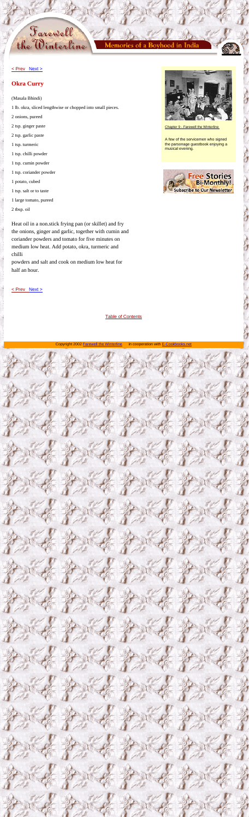<span id="page-29-0"></span>



### **Okra Curry**

(Masala Bhindi)

- 1 lb. okra, sliced lengthwise or chopped into small pieces.
- 2 onions, pureed
- 2 tsp. ginger paste
- 2 tsp. garlic paste
- 1 tsp. turmeric
- 1 tsp. chilli powder
- 1 tsp. cumin powder
- 1 tsp. coriander powder
- 1 potato, cubed
- 1 tsp. salt or to taste
- 1 large tomato, pureed
- 2 tbsp. oil

Heat oil in a non.stick frying pan (or skillet) and fry the onions, ginger and garlic, together with cumin and coriander powders and tomato for five minutes on medium low heat. Add potato, okra, turmeric and chilli powders and salt and cook on medium low heat for

half an hour.

[< Prev](#page-28-0) [Next >](#page-30-0)

[Table of Contents](#page-2-0)





[Chapter 9 - Farewell the Winterline](http://www.greyvisual.com/winterline/Contents/Chap9/chap9.html)

A few of the servicemen who signed the parsonage guestbook enjoying a musical evening.

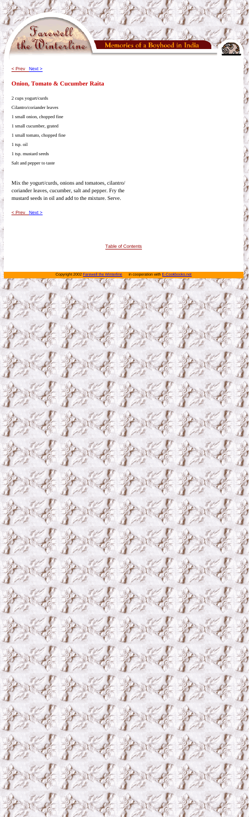<span id="page-30-0"></span>

hoc



[< Prev](#page-29-0) [Next >](#page-31-0)

### **Onion, Tomato & Cucumber Raita**

2 cups yogurt/curds Cilantro/coriander leaves 1 small onion, chopped fine 1 small cucumber, grated 1 small tomato, chopped fine 1 tsp. oil 1 tsp. mustard seeds Salt and pepper to taste

Mix the yogurt/curds, onions and tomatoes, cilantro/ coriander leaves, cucumber, salt and pepper. Fry the mustard seeds in oil and add to the mixture. Serve.

[< Prev](#page-29-0) [Next >](#page-31-0)

[Table of Contents](#page-2-0)

Copyright 2002 [Farewell the Winterline](http://www.farewellthewinterline.com/) in cooperation with E-Cookbooks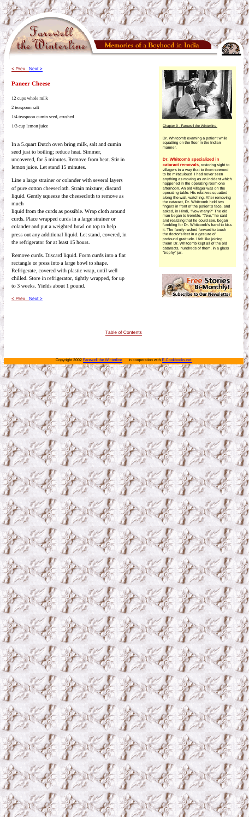

### **Paneer Cheese**

12 cups whole milk 2 teaspoon salt 1/4 teaspoon cumin seed, crushed 1/3 cup lemon juice

<span id="page-31-0"></span>Farewell

the Winterline

In a 5.quart Dutch oven bring milk, salt and cumin seed just to boiling; reduce heat. Simmer, uncovered, for 5 minutes. Remove from heat. Stir in lemon juice. Let stand 15 minutes.

Line a large strainer or colander with several layers of pure cotton cheesecloth. Strain mixture; discard liquid. Gently squeeze the cheesecloth to remove as much

liquid from the curds as possible. Wrap cloth around curds. Place wrapped curds in a large strainer or colander and put a weighted bowl on top to help press out any additional liquid. Let stand, covered, in the refrigerator for at least 15 hours.

Remove curds. Discard liquid. Form curds into a flat rectangle or press into a large bowl to shape. Refrigerate, covered with plastic wrap, until well chilled. Store in refrigerator, tightly wrapped, for up to 3 weeks. Yields about 1 pound.



[Chapter 9 - Farewell the Winterline](http://www.greyvisual.com/winterline/Contents/Chap9/chap9.html) 

Dr. Whitcomb examing a patient while squatting on the floor in the Indian manner.

#### **Dr. Whitcomb specialized in**

**cataract removals**, restoring sight to villagers in a way that to them seemed to be miraculous! I had never seen anything as moving as an incident which happened in the operating room one afternoon. An old villager was on the operating table. His relatives squatted along the wall, watching. After removing the cataract, Dr. Whitcomb held two fingers in front of the patient's face, and asked, in Hindi, *"How many*?" The old man began to tremble. "*Two*," he said and realizing that he could see, began fumbling for Dr. Whitcomb's hand to kiss it. The family rushed forward to touch the doctor's feet in a gesture of profound gratitude. I felt like joining them! Dr. Whitcomb kept all of the old cataracts, hundreds of them, in a glass "trophy" jar.



[< Prev](#page-30-0) [Next >](#page-32-0)

[Table of Contents](#page-2-0)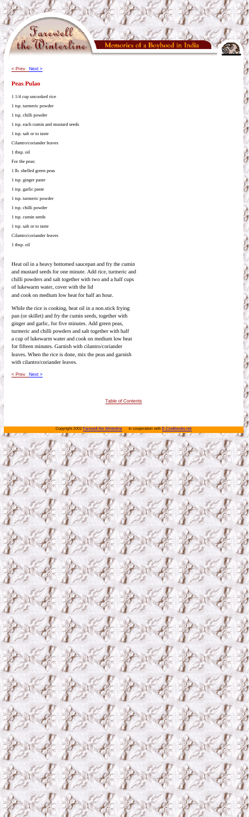<span id="page-32-0"></span>



### **Peas Pulao**

1 1/4 cup uncooked rice 1 tsp. turmeric powder 1 tsp. chilli powder 1 tsp. each cumin and mustard seeds 1 tsp. salt or to taste Cilantro/coriander leaves 1 tbsp. oil For the peas: 1 lb. shelled green peas 1 tsp. ginger paste 1 tsp. garlic paste 1 tsp. turmeric powder 1 tsp. chilli powder 1 tsp. cumin seeds 1 tsp. salt or to taste Cilantro/coriander leaves 1 tbsp. oil

Heat oil in a heavy bottomed saucepan and fry the cumin and mustard seeds for one minute. Add rice, turmeric and chilli powders and salt together with two and a half cups of lukewarm water, cover with the lid and cook on medium low heat for half an hour.

While the rice is cooking, heat oil in a non.stick frying pan (or skillet) and fry the cumin seeds, together with ginger and garlic, for five minutes. Add green peas, turmeric and chilli powders and salt together with half a cup of lukewarm water and cook on medium low heat for fifteen minutes. Garnish with cilantro/coriander leaves. When the rice is done, mix the peas and garnish with cilantro/coriander leaves.

[< Prev](#page-31-0) [Next >](#page-33-0)

[Table of Contents](#page-2-0)

Copyright 2002 [Farewell the Winterline](http://www.farewellthewinterline.com/) in cooperation with E

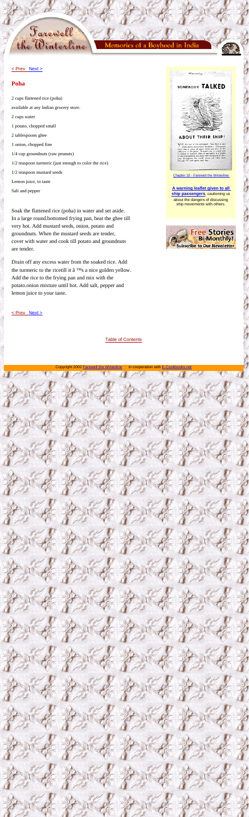### **Poha**

2 cups flattened rice (poha) available at any Indian grocery store. 2 cups water 1 potato, chopped small 2 tablespoons ghee 1 onion, chopped fine 1/4 cup groundnuts (raw peanuts) 1/2 teaspoon turmeric (just enough to color the rice) 1/2 teaspoon mustard seeds Lemon juice, to taste Salt and pepper

<span id="page-33-0"></span>Farewell<br>the Winterline

Soak the flattened rice (poha) in water and set aside. In a large round.bottomed frying pan, heat the ghee till very hot. Add mustard seeds, onion, potato and groundnuts. When the mustard seeds are tender, cover with water and cook till potato and groundnuts are tender.

Drain off any excess water from the soaked rice. Add the turmeric to the ricetill it  $âE$ <sup>M</sup>s a nice golden yellow. Add the rice to the frying pan and mix with the potato.onion mixture until hot. Add salt, pepper and lemon juice to your taste.

#### [< Prev](#page-32-0) [Next >](#page-34-0)

[Table of Contents](#page-2-0)

Copyright 2002 [Farewell the Winterline](http://www.farewellthewinterline.com/) in cooperation with [E-Cookbooks.net](http://www.e-cookbooks.net/)

OU are one of the privi

#### [Chapter 10 - Farewell the Winterline](http://www.greyvisual.com/winterline/Contents/Chap10/chap10.html)

**[A warning leaflet given to all](http://www.greyvisual.com/winterline/Contents/Chap10/chap10.html) [ship passengers](http://www.greyvisual.com/winterline/Contents/Chap10/chap10.html)**, cautioning us about the dangers of discussing ship movements with others.



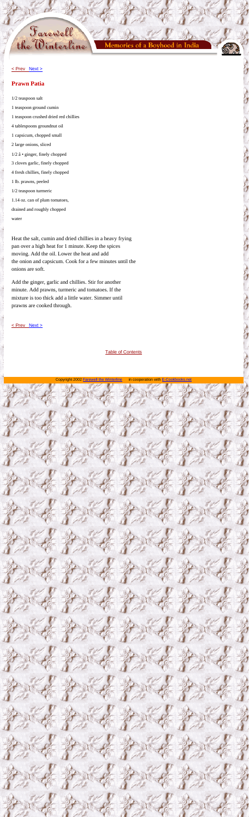## **Prawn Patia**

1/2 teaspoon salt

- 1 teaspoon ground cumin
- 1 teaspoon crushed dried red chillies

<span id="page-34-0"></span>Farewell

the Winterline

- 4 tablespoons groundnut oil
- 1 capsicum, chopped small
- 2 large onions, sliced
- $1/2$  †ginger, finely chopped
- 3 cloves garlic, finely chopped
- 4 fresh chillies, finely chopped
- 1 lb. prawns, peeled
- 1/2 teaspoon turmeric
- 1.14 oz. can of plum tomatoes,
- drained and roughly chopped

water

Heat the salt, cumin and dried chillies in a heavy frying pan over a high heat for 1 minute. Keep the spices moving. Add the oil. Lower the heat and add the onion and capsicum. Cook for a few minutes until the onions are soft.

Add the ginger, garlic and chillies. Stir for another minute. Add prawns, turmeric and tomatoes. If the mixture is too thick add a little water. Simmer until prawns are cooked through.

[< Prev](#page-33-0) [Next >](#page-35-0)

[Table of Contents](#page-2-0)

Copyright 2002 [Farewell the Winterline](http://www.farewellthewinterline.com/) in cooperation with E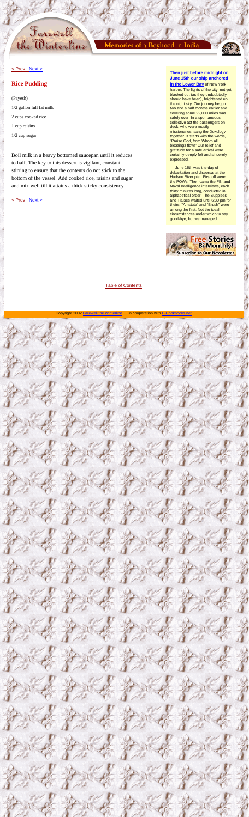<span id="page-35-0"></span>



### **Rice Pudding**

(Payesh)

1/2 gallon full fat milk

2 cups cooked rice

1 cup raisins

1/2 cup sugar

Boil milk in a heavy bottomed saucepan until it reduces to half. The key to this dessert is vigilant, constant stirring to ensure that the contents do not stick to the bottom of the vessel. Add cooked rice, raisins and sugar and mix well till it attains a thick sticky consistency

### [< Prev](#page-34-0) [Next >](#page-36-0)

#### **[Then just before midnight on](http://www.greyvisual.com/winterline/Contents/Chap11/chap11.html)  [June 15th our ship anchored](http://www.greyvisual.com/winterline/Contents/Chap11/chap11.html) [in the Lower Bay](http://www.greyvisual.com/winterline/Contents/Chap11/chap11.html)** of New York

harbor. The lights of the city, not yet blacked out (as they undoubtedly should have been), brightened up the night sky. Our journey begun two and a half months earlier and covering some 22,000 miles was safely over. In a spontaneous collective act the passengers on deck, who were mostly missionaries, sang the Doxology together. It starts with the words, "Praise God, from Whom all blessings flow!" Our relief and gratitude for a safe arrival were certainly deeply felt and sincerely expressed.

 June 16th was the day of debarkation and dispersal at the Hudson River pier. First off were the POWs. Then came the FBI and Naval Intelligence interviews, each thirty minutes long, conducted in alphabetical order. The Supplees and Tituses waited until 6:30 pm for theirs. "Amstutz" and "Brush" were among the first. Not the ideal circumstances under which to say good-bye, but we managed.



[Table of Contents](#page-2-0)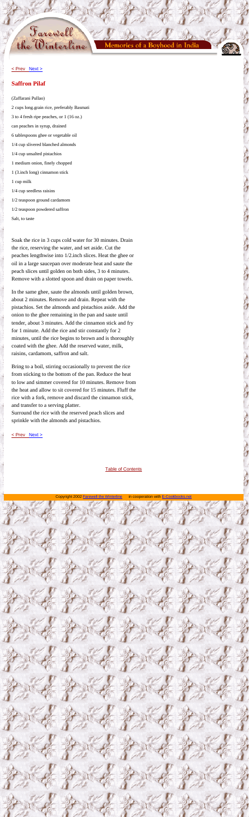<span id="page-36-0"></span>



### **Saffron Pilaf**

#### (Zaffarani Pullao)

2 cups long.grain rice, preferably Basmati 3 to 4 fresh ripe peaches, or 1 (16 oz.) can peaches in syrup, drained 6 tablespoons ghee or vegetable oil 1/4 cup slivered blanched almonds 1/4 cup unsalted pistachios 1 medium onion, finely chopped 1 (3.inch long) cinnamon stick 1 cup milk 1/4 cup seedless raisins 1/2 teaspoon ground cardamom 1/2 teaspoon powdered saffron Salt, to taste

Soak the rice in 3 cups cold water for 30 minutes. Drain the rice, reserving the water, and set aside. Cut the peaches lengthwise into 1/2.inch slices. Heat the ghee or oil in a large saucepan over moderate heat and saute the peach slices until golden on both sides, 3 to 4 minutes. Remove with a slotted spoon and drain on paper towels.

In the same ghee, saute the almonds until golden brown, about 2 minutes. Remove and drain. Repeat with the pistachios. Set the almonds and pistachios aside. Add the onion to the ghee remaining in the pan and saute until tender, about 3 minutes. Add the cinnamon stick and fry for 1 minute. Add the rice and stir constantly for 2 minutes, until the rice begins to brown and is thoroughly coated with the ghee. Add the reserved water, milk, raisins, cardamom, saffron and salt.

Bring to a boil, stirring occasionally to prevent the rice from sticking to the bottom of the pan. Reduce the heat to low and simmer covered for 10 minutes. Remove from the heat and allow to sit covered for 15 minutes. Fluff the rice with a fork, remove and discard the cinnamon stick, and transfer to a serving platter.

Surround the rice with the reserved peach slices and sprinkle with the almonds and pistachios.

[< Prev](#page-35-0) [Next >](#page-37-0)

[Table of Contents](#page-2-0)

Copyright 2002 [Farewell the Winterline](http://www.farewellthewinterline.com/) in cooperation with E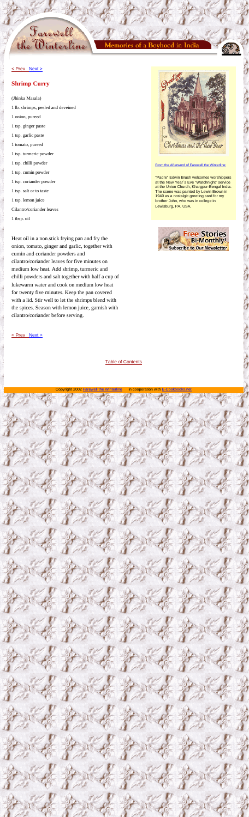<span id="page-37-0"></span>Farewell the Winterline

**Boyhood** 



#### [< Prev](#page-36-0) [Next >](#page-38-0)

### **Shrimp Curry**

#### (Jhinka Masala)

- 1 lb. shrimps, peeled and deveined
- 1 onion, pureed
- 1 tsp. ginger paste
- 1 tsp. garlic paste
- 1 tomato, pureed
- 1 tsp. turmeric powder
- 1 tsp. chilli powder
- 1 tsp. cumin powder
- 1 tsp. coriander powder
- 1 tsp. salt or to taste
- 1 tsp. lemon juice
- Cilantro/coriander leaves

1 tbsp. oil

Heat oil in a non.stick frying pan and fry the onion, tomato, ginger and garlic, together with cumin and coriander powders and cilantro/coriander leaves for five minutes on medium low heat. Add shrimp, turmeric and chilli powders and salt together with half a cup of lukewarm water and cook on medium low heat for twenty five minutes. Keep the pan covered with a lid. Stir well to let the shrimps blend with the spices. Season with lemon juice, garnish with cilantro/coriander before serving.

#### [< Prev](#page-36-0) [Next >](#page-38-0)

[Table of Contents](#page-2-0)





[From the Afterword of Farewell the Winterline:](http://www.greyvisual.com/winterline/Contents/Afterword/afterword.html)

"Padre" Edwin Brush welcomes worshippers at the New Year´s Eve "Watchnight" service at the Union Church, Khargpur-Bengal India. The scene was painted by Lewin Brown in 1940 as a nostalgic greeting card for my brother John, who was in college in Lewisburg, PA, USA.

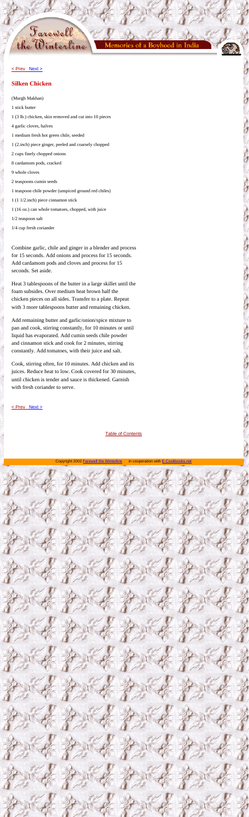<span id="page-38-0"></span>



### **Silken Chicken**

(Murgh Makhan) 1 stick butter 1 (3 lb.) chicken, skin removed and cut into 10 pieces 4 garlic cloves, halves 1 medium fresh hot green chile, seeded 1 (2.inch) piece ginger, peeled and coarsely chopped 2 cups finely chopped onions 8 cardamom pods, cracked 9 whole cloves 2 teaspoons cumin seeds 1 teaspoon chile powder (unspiced ground red chiles) 1 (1 1/2.inch) piece cinnamon stick 1 (16 oz.) can whole tomatoes, chopped, with juice 1/2 teaspoon salt 1/4 cup fresh coriander

Combine garlic, chile and ginger in a blender and process for 15 seconds. Add onions and process for 15 seconds. Add cardamom pods and cloves and process for 15 seconds. Set aside.

Heat 3 tablespoons of the butter in a large skillet until the foam subsides. Over medium heat brown half the chicken pieces on all sides. Transfer to a plate. Repeat with 3 more tablespoons butter and remaining chicken.

Add remaining butter and garlic/onion/spice mixture to pan and cook, stirring constantly, for 10 minutes or until liquid has evaporated. Add cumin seeds chile powder and cinnamon stick and cook for 2 minutes, stirring constantly. Add tomatoes, with their juice and salt.

Cook, stirring often, for 10 minutes. Add chicken and its

juices. Reduce heat to low. Cook covered for 30 minutes, until chicken is tender and sauce is thickened. Garnish with fresh coriander to serve.

[< Prev](#page-37-0) [Next >](#page-39-0)

[Table of Contents](#page-2-0)

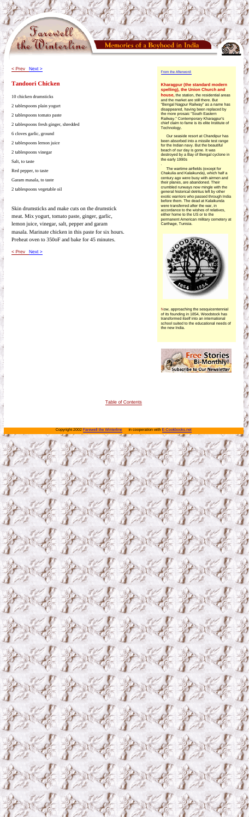<span id="page-39-0"></span>



### **Tandoori Chicken**

- 10 chicken drumsticks
- 2 tablespoons plain yogurt
- 2 tablespoons tomato paste
- 2 tablespoons fresh ginger, shredded
- 6 cloves garlic, ground
- 2 tablespoons lemon juice
- 2 tablespoons vinegar

Salt, to taste

- Red pepper, to taste
- Garam masala, to taste
- 2 tablespoons vegetable oil

Skin drumsticks and make cuts on the drumstick meat. Mix yogurt, tomato paste, ginger, garlic, lemon juice, vinegar, salt, pepper and garam masala. Marinate chicken in this paste for six hours. Preheat oven to 350oF and bake for 45 minutes.

 $\le$  Prev Next  $>$ 

#### [From the Afterword:](http://www.greyvisual.com/winterline/Contents/Afterword/afterword.html)

**Kharagpur (the standard modern spelling), the Union Church and house,** the station, the residential areas and the market are still there. But "Bengal Nagpur Railway" as a name has disappeared, having been replaced by the more prosaic "South Eastern

Railway." Contemporary Kharagpur's chief claim to fame is its elite Institute of Technology.

 Our seaside resort at Chandipur has been absorbed into a missile test range for the Indian navy. But the beautiful beach of our day is gone. It was destroyed by a Bay of Bengal cyclone in the early 1990s

.

 The wartime airfields (except for Chakulia and Kalaikunda), which half a century ago were busy with airmen and their planes, are abandoned. Their crumbled runways now mingle with the general historical detritus left by other exotic warriors who passed through India before them. The dead at Kalaikunda were transferred after the war, in accordance to the wishes of relatives, either home to the US or to the permanent American military cemetery at Carthage, Tunisia.



Now, approaching the sesquicentennial of its founding in 1854, Woodstock has transformed itself into an international school suited to the educational needs of the new India.



**Subscribe to Our Newsletter** 

#### [Table of Contents](#page-2-0)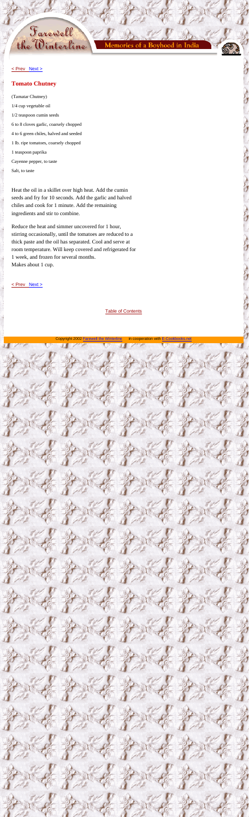<span id="page-40-0"></span>



### **Tomato Chutney**

(Tamatar Chutney) 1/4 cup vegetable oil 1/2 teaspoon cumin seeds 6 to 8 cloves garlic, coarsely chopped 4 to 6 green chiles, halved and seeded 1 lb. ripe tomatoes, coarsely chopped 1 teaspoon paprika Cayenne pepper, to taste Salt, to taste

Heat the oil in a skillet over high heat. Add the cumin seeds and fry for 10 seconds. Add the garlic and halved chiles and cook for 1 minute. Add the remaining ingredients and stir to combine.

Reduce the heat and simmer uncovered for 1 hour, stirring occasionally, until the tomatoes are reduced to a thick paste and the oil has separated. Cool and serve at room temperature. Will keep covered and refrigerated for 1 week, and frozen for several months. Makes about 1 cup.

[< Prev](#page-39-0) [Next >](#page-41-0)

[Table of Contents](#page-2-0)

Copyright 2002 [Farewell the Winterline](http://www.farewellthewinterline.com/) in cooperation with E-C